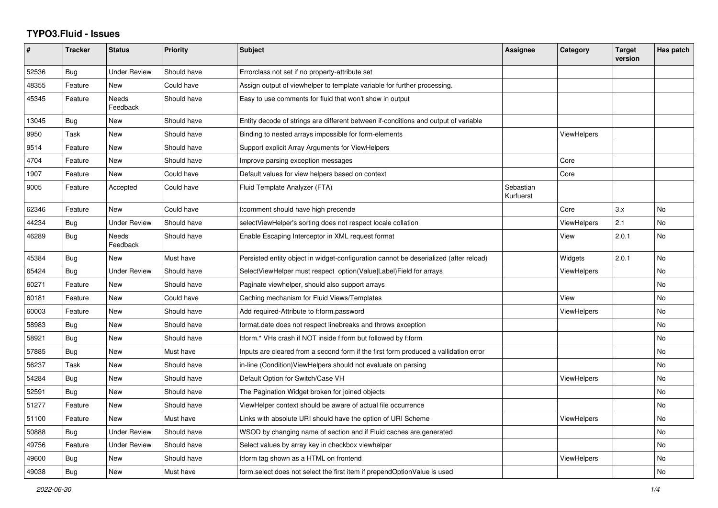## **TYPO3.Fluid - Issues**

| $\#$  | <b>Tracker</b> | <b>Status</b>       | <b>Priority</b> | <b>Subject</b>                                                                        | Assignee               | Category           | <b>Target</b><br>version | Has patch |
|-------|----------------|---------------------|-----------------|---------------------------------------------------------------------------------------|------------------------|--------------------|--------------------------|-----------|
| 52536 | Bug            | Under Review        | Should have     | Errorclass not set if no property-attribute set                                       |                        |                    |                          |           |
| 48355 | Feature        | New                 | Could have      | Assign output of viewhelper to template variable for further processing.              |                        |                    |                          |           |
| 45345 | Feature        | Needs<br>Feedback   | Should have     | Easy to use comments for fluid that won't show in output                              |                        |                    |                          |           |
| 13045 | <b>Bug</b>     | New                 | Should have     | Entity decode of strings are different between if-conditions and output of variable   |                        |                    |                          |           |
| 9950  | Task           | New                 | Should have     | Binding to nested arrays impossible for form-elements                                 |                        | ViewHelpers        |                          |           |
| 9514  | Feature        | New                 | Should have     | Support explicit Array Arguments for ViewHelpers                                      |                        |                    |                          |           |
| 4704  | Feature        | New                 | Should have     | Improve parsing exception messages                                                    |                        | Core               |                          |           |
| 1907  | Feature        | <b>New</b>          | Could have      | Default values for view helpers based on context                                      |                        | Core               |                          |           |
| 9005  | Feature        | Accepted            | Could have      | Fluid Template Analyzer (FTA)                                                         | Sebastian<br>Kurfuerst |                    |                          |           |
| 62346 | Feature        | New                 | Could have      | f:comment should have high precende                                                   |                        | Core               | 3.x                      | No        |
| 44234 | <b>Bug</b>     | <b>Under Review</b> | Should have     | selectViewHelper's sorting does not respect locale collation                          |                        | <b>ViewHelpers</b> | 2.1                      | <b>No</b> |
| 46289 | Bug            | Needs<br>Feedback   | Should have     | Enable Escaping Interceptor in XML request format                                     |                        | View               | 2.0.1                    | <b>No</b> |
| 45384 | Bug            | <b>New</b>          | Must have       | Persisted entity object in widget-configuration cannot be deserialized (after reload) |                        | Widgets            | 2.0.1                    | <b>No</b> |
| 65424 | Bug            | Under Review        | Should have     | SelectViewHelper must respect option(Value Label)Field for arrays                     |                        | ViewHelpers        |                          | <b>No</b> |
| 60271 | Feature        | New                 | Should have     | Paginate viewhelper, should also support arrays                                       |                        |                    |                          | <b>No</b> |
| 60181 | Feature        | <b>New</b>          | Could have      | Caching mechanism for Fluid Views/Templates                                           |                        | View               |                          | <b>No</b> |
| 60003 | Feature        | New                 | Should have     | Add required-Attribute to f:form.password                                             |                        | ViewHelpers        |                          | <b>No</b> |
| 58983 | Bug            | New                 | Should have     | format.date does not respect linebreaks and throws exception                          |                        |                    |                          | No        |
| 58921 | <b>Bug</b>     | New                 | Should have     | f:form.* VHs crash if NOT inside f:form but followed by f:form                        |                        |                    |                          | No        |
| 57885 | Bug            | <b>New</b>          | Must have       | Inputs are cleared from a second form if the first form produced a vallidation error  |                        |                    |                          | <b>No</b> |
| 56237 | Task           | <b>New</b>          | Should have     | in-line (Condition) View Helpers should not evaluate on parsing                       |                        |                    |                          | <b>No</b> |
| 54284 | <b>Bug</b>     | New                 | Should have     | Default Option for Switch/Case VH                                                     |                        | <b>ViewHelpers</b> |                          | No        |
| 52591 | Bug            | New                 | Should have     | The Pagination Widget broken for joined objects                                       |                        |                    |                          | No        |
| 51277 | Feature        | New                 | Should have     | ViewHelper context should be aware of actual file occurrence                          |                        |                    |                          | No        |
| 51100 | Feature        | <b>New</b>          | Must have       | Links with absolute URI should have the option of URI Scheme                          |                        | <b>ViewHelpers</b> |                          | <b>No</b> |
| 50888 | Bug            | <b>Under Review</b> | Should have     | WSOD by changing name of section and if Fluid caches are generated                    |                        |                    |                          | No        |
| 49756 | Feature        | <b>Under Review</b> | Should have     | Select values by array key in checkbox viewhelper                                     |                        |                    |                          | No        |
| 49600 | Bug            | New                 | Should have     | f:form tag shown as a HTML on frontend                                                |                        | <b>ViewHelpers</b> |                          | No        |
| 49038 | Bug            | <b>New</b>          | Must have       | form select does not select the first item if prependOptionValue is used              |                        |                    |                          | <b>No</b> |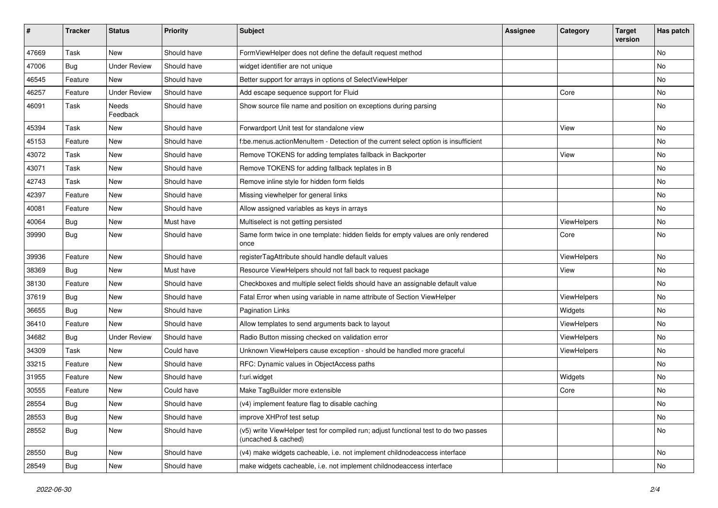| $\sharp$ | <b>Tracker</b> | <b>Status</b>       | <b>Priority</b> | Subject                                                                                                     | <b>Assignee</b> | Category    | <b>Target</b><br>version | Has patch |
|----------|----------------|---------------------|-----------------|-------------------------------------------------------------------------------------------------------------|-----------------|-------------|--------------------------|-----------|
| 47669    | Task           | New                 | Should have     | FormViewHelper does not define the default request method                                                   |                 |             |                          | <b>No</b> |
| 47006    | Bug            | <b>Under Review</b> | Should have     | widget identifier are not unique                                                                            |                 |             |                          | No        |
| 46545    | Feature        | <b>New</b>          | Should have     | Better support for arrays in options of SelectViewHelper                                                    |                 |             |                          | <b>No</b> |
| 46257    | Feature        | <b>Under Review</b> | Should have     | Add escape sequence support for Fluid                                                                       |                 | Core        |                          | No        |
| 46091    | Task           | Needs<br>Feedback   | Should have     | Show source file name and position on exceptions during parsing                                             |                 |             |                          | No        |
| 45394    | Task           | New                 | Should have     | Forwardport Unit test for standalone view                                                                   |                 | View        |                          | No        |
| 45153    | Feature        | New                 | Should have     | f:be.menus.actionMenuItem - Detection of the current select option is insufficient                          |                 |             |                          | No        |
| 43072    | Task           | <b>New</b>          | Should have     | Remove TOKENS for adding templates fallback in Backporter                                                   |                 | View        |                          | No        |
| 43071    | Task           | New                 | Should have     | Remove TOKENS for adding fallback teplates in B                                                             |                 |             |                          | No        |
| 42743    | Task           | New                 | Should have     | Remove inline style for hidden form fields                                                                  |                 |             |                          | <b>No</b> |
| 42397    | Feature        | New                 | Should have     | Missing viewhelper for general links                                                                        |                 |             |                          | No        |
| 40081    | Feature        | New                 | Should have     | Allow assigned variables as keys in arrays                                                                  |                 |             |                          | No        |
| 40064    | Bug            | New                 | Must have       | Multiselect is not getting persisted                                                                        |                 | ViewHelpers |                          | No        |
| 39990    | Bug            | New                 | Should have     | Same form twice in one template: hidden fields for empty values are only rendered<br>once                   |                 | Core        |                          | No        |
| 39936    | Feature        | <b>New</b>          | Should have     | registerTagAttribute should handle default values                                                           |                 | ViewHelpers |                          | No        |
| 38369    | Bug            | New                 | Must have       | Resource ViewHelpers should not fall back to request package                                                |                 | View        |                          | No        |
| 38130    | Feature        | <b>New</b>          | Should have     | Checkboxes and multiple select fields should have an assignable default value                               |                 |             |                          | <b>No</b> |
| 37619    | Bug            | New                 | Should have     | Fatal Error when using variable in name attribute of Section ViewHelper                                     |                 | ViewHelpers |                          | No        |
| 36655    | Bug            | New                 | Should have     | <b>Pagination Links</b>                                                                                     |                 | Widgets     |                          | No        |
| 36410    | Feature        | New                 | Should have     | Allow templates to send arguments back to layout                                                            |                 | ViewHelpers |                          | No        |
| 34682    | Bug            | <b>Under Review</b> | Should have     | Radio Button missing checked on validation error                                                            |                 | ViewHelpers |                          | No        |
| 34309    | Task           | <b>New</b>          | Could have      | Unknown ViewHelpers cause exception - should be handled more graceful                                       |                 | ViewHelpers |                          | <b>No</b> |
| 33215    | Feature        | New                 | Should have     | RFC: Dynamic values in ObjectAccess paths                                                                   |                 |             |                          | No        |
| 31955    | Feature        | New                 | Should have     | f:uri.widget                                                                                                |                 | Widgets     |                          | No        |
| 30555    | Feature        | New                 | Could have      | Make TagBuilder more extensible                                                                             |                 | Core        |                          | No        |
| 28554    | Bug            | New                 | Should have     | (v4) implement feature flag to disable caching                                                              |                 |             |                          | No        |
| 28553    | Bug            | New                 | Should have     | improve XHProf test setup                                                                                   |                 |             |                          | No        |
| 28552    | <b>Bug</b>     | New                 | Should have     | (v5) write ViewHelper test for compiled run; adjust functional test to do two passes<br>(uncached & cached) |                 |             |                          | No        |
| 28550    | Bug            | New                 | Should have     | (v4) make widgets cacheable, i.e. not implement childnodeaccess interface                                   |                 |             |                          | No        |
| 28549    | <b>Bug</b>     | New                 | Should have     | make widgets cacheable, i.e. not implement childnodeaccess interface                                        |                 |             |                          | No        |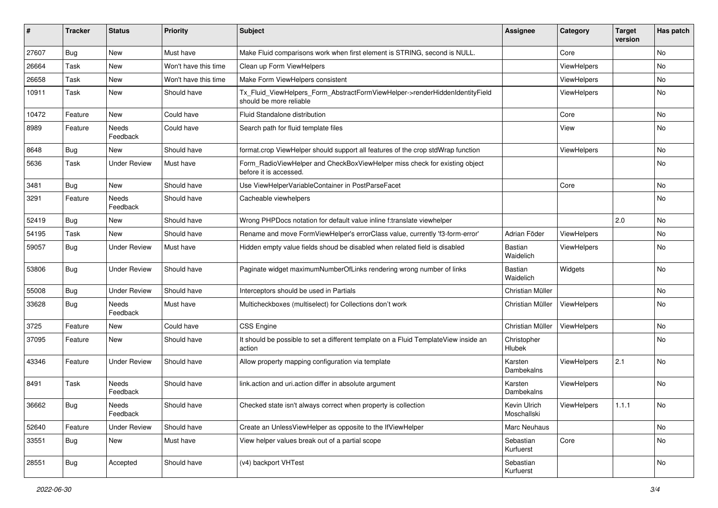| #     | <b>Tracker</b> | <b>Status</b>       | <b>Priority</b>      | Subject                                                                                                | <b>Assignee</b>              | Category    | <b>Target</b><br>version | Has patch |
|-------|----------------|---------------------|----------------------|--------------------------------------------------------------------------------------------------------|------------------------------|-------------|--------------------------|-----------|
| 27607 | Bug            | New                 | Must have            | Make Fluid comparisons work when first element is STRING, second is NULL.                              |                              | Core        |                          | <b>No</b> |
| 26664 | Task           | New                 | Won't have this time | Clean up Form ViewHelpers                                                                              |                              | ViewHelpers |                          | No        |
| 26658 | Task           | New                 | Won't have this time | Make Form ViewHelpers consistent                                                                       |                              | ViewHelpers |                          | No        |
| 10911 | Task           | New                 | Should have          | Tx_Fluid_ViewHelpers_Form_AbstractFormViewHelper->renderHiddenIdentityField<br>should be more reliable |                              | ViewHelpers |                          | No        |
| 10472 | Feature        | New                 | Could have           | Fluid Standalone distribution                                                                          |                              | Core        |                          | No        |
| 8989  | Feature        | Needs<br>Feedback   | Could have           | Search path for fluid template files                                                                   |                              | View        |                          | No        |
| 8648  | Bug            | New                 | Should have          | format.crop ViewHelper should support all features of the crop stdWrap function                        |                              | ViewHelpers |                          | No        |
| 5636  | Task           | <b>Under Review</b> | Must have            | Form_RadioViewHelper and CheckBoxViewHelper miss check for existing object<br>before it is accessed.   |                              |             |                          | No        |
| 3481  | Bug            | New                 | Should have          | Use ViewHelperVariableContainer in PostParseFacet                                                      |                              | Core        |                          | No        |
| 3291  | Feature        | Needs<br>Feedback   | Should have          | Cacheable viewhelpers                                                                                  |                              |             |                          | No        |
| 52419 | Bug            | New                 | Should have          | Wrong PHPDocs notation for default value inline f:translate viewhelper                                 |                              |             | 2.0                      | <b>No</b> |
| 54195 | Task           | New                 | Should have          | Rename and move FormViewHelper's errorClass value, currently 'f3-form-error'                           | Adrian Föder                 | ViewHelpers |                          | No        |
| 59057 | Bug            | <b>Under Review</b> | Must have            | Hidden empty value fields shoud be disabled when related field is disabled                             | <b>Bastian</b><br>Waidelich  | ViewHelpers |                          | No        |
| 53806 | Bug            | <b>Under Review</b> | Should have          | Paginate widget maximumNumberOfLinks rendering wrong number of links                                   | <b>Bastian</b><br>Waidelich  | Widgets     |                          | No        |
| 55008 | Bug            | <b>Under Review</b> | Should have          | Interceptors should be used in Partials                                                                | Christian Müller             |             |                          | No        |
| 33628 | Bug            | Needs<br>Feedback   | Must have            | Multicheckboxes (multiselect) for Collections don't work                                               | Christian Müller             | ViewHelpers |                          | No        |
| 3725  | Feature        | New                 | Could have           | CSS Engine                                                                                             | Christian Müller             | ViewHelpers |                          | No        |
| 37095 | Feature        | New                 | Should have          | It should be possible to set a different template on a Fluid TemplateView inside an<br>action          | Christopher<br><b>Hlubek</b> |             |                          | No        |
| 43346 | Feature        | <b>Under Review</b> | Should have          | Allow property mapping configuration via template                                                      | Karsten<br>Dambekalns        | ViewHelpers | 2.1                      | No        |
| 8491  | Task           | Needs<br>Feedback   | Should have          | link.action and uri.action differ in absolute argument                                                 | Karsten<br>Dambekalns        | ViewHelpers |                          | No        |
| 36662 | Bug            | Needs<br>Feedback   | Should have          | Checked state isn't always correct when property is collection                                         | Kevin Ulrich<br>Moschallski  | ViewHelpers | 1.1.1                    | No        |
| 52640 | Feature        | <b>Under Review</b> | Should have          | Create an UnlessViewHelper as opposite to the IfViewHelper                                             | Marc Neuhaus                 |             |                          | No        |
| 33551 | <b>Bug</b>     | New                 | Must have            | View helper values break out of a partial scope                                                        | Sebastian<br>Kurfuerst       | Core        |                          | No        |
| 28551 | Bug            | Accepted            | Should have          | (v4) backport VHTest                                                                                   | Sebastian<br>Kurfuerst       |             |                          | No        |